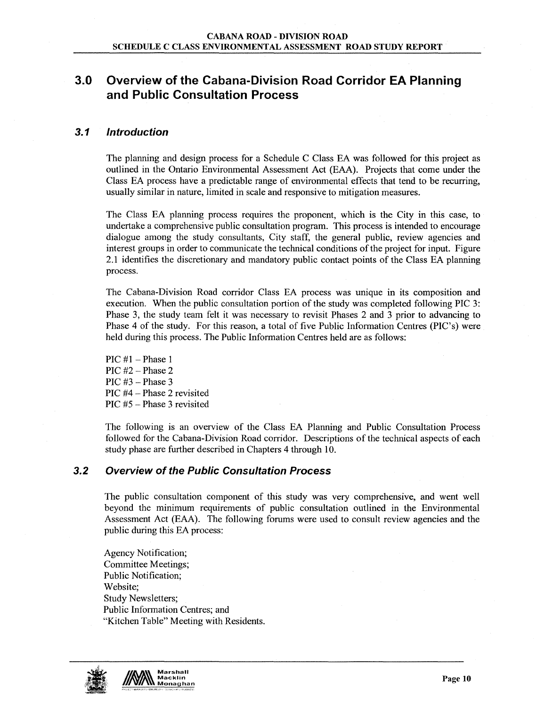# 3.0 Overview of the Cabana-Division Road Corridor EA Planning and Public Consultation Process

## 3.1 Introduction

The planning and design process for a Schedule C Class EA was followed for this project as outlined in the Ontario Environmental Assessment Act (EAA). Projects that come under the Class EA process have a predictable range of environmental effects that tend to be recurring, usually similar in nature, limited in scale and responsive to mitigation measures.

The Class EA planning process requires the proponent, which is the City in this case, to undertake a comprehensive public consultation program. This process is intended to encourage dialogue among the study consultants, City staff, the general public, review agencies and interest groups in order to communicate the technical conditions of the project for input. Figure 2.1 identifies the discretionary and mandatory public contact points of the Class EA planning process.

The Cabana-Division Road corridor Class EA process was unique in its composition and execution. When the public consultation portion of the study was completed following PIC 3: Phase 3, the study team felt it was necessary to revisit Phases 2 and 3 prior to advancing to Phase 4 of the study. For this reason, a total of five Public Information Centres (PIC's) were held during this process. The Public Information Centres held are as follows:

 $\text{PIC } \#1 - \text{Phase } 1$ PIC #2 - Phase 2 PIC  $#3$  – Phase 3 PIC  $#4$  – Phase 2 revisited PIC  $#5$  – Phase 3 revisited

The following is an overview of the Class EA Planning and Public Consultation Process followed for the Cabana-Division Road corridor. Descriptions of the technical aspects of each study phase are further described in Chapters 4 through 10.

### 3.2 Overview of the Public Consultation Process

The public consultation component of this study was very comprehensive, and went well beyond the minimum requirements of public consultation outlined in the Environmental Assessment Act (EAA). The following forums were used to consult review agencies and the public during this EA process:

Agency Notification; Committee Meetings; Public Notification; Website; Study Newsletters; Public Information Centres; and "Kitchen Table" Meeting with Residents.



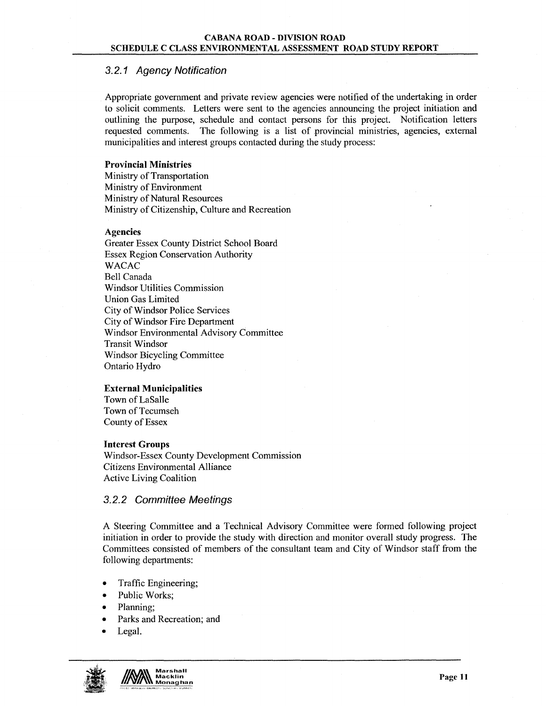# 3.2.1 Agency Notification

Appropriate govemment and private review agencies were notified of the undertaking in order to solicit comments. Letters were sent to the agencies announcing the project initiation and outlining the purpose, schedule and contact persons for this project. Notification letters requested comments. The following is a list of provincial ministries, agencies, external municipalities and interest groups contacted during the study process:

#### **Provincial Ministries**

Ministry of Transportation Ministry of Environment Ministry of Natural Resources Ministry of Citizenship, Culture and Recreation

#### Agencies

Greater Essex County District School Board Essex Region Conservation Authority WACAC Bell Canada Windsor Utilities Commission Union Gas Limited City of Windsor Police Services City of Windsor Fire Department Windsor Environmental Advisory Committee Transit Windsor Windsor Bicycling Committee Ontario Hydro

#### **External Municipalities**

Town of LaSalle Town of Tecumseh County of Essex

#### **Interest Groups**

Windsor-Essex County Development Commission Citizens Environmental Alliance Active Living Coalition

#### 3.2.2 Committee Meetings

A Steering Committee and a Technical Advisory Committee were formed following project initiation in order to provide the study with direction and monitor overall study progress. The Committees consisted of members of the consultant team and City of Windsor staff from the following departments:

- Traffic Engineering;
- Public Works;
- Planning;
- Parks and Recreation; and
- Legal.



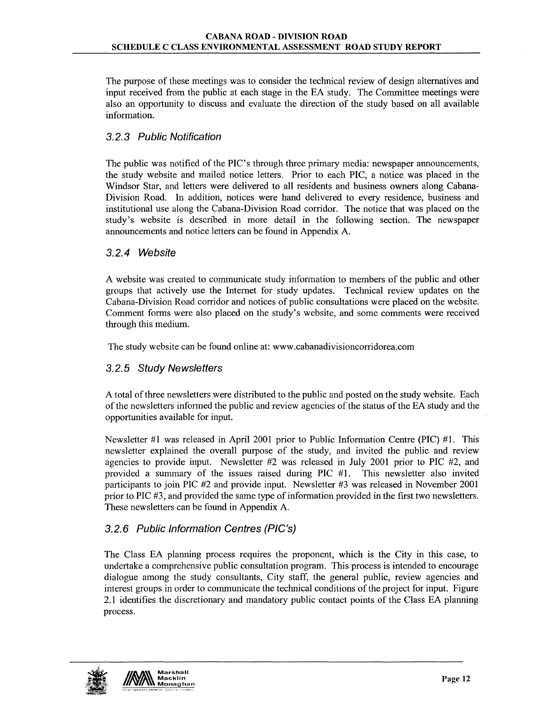The purpose of these meetings was to consider the technical review of design alternatives and input received from the public at each stage in the EA study. The Committee meetings were also an opportunity to discuss and evaluate the direction of the study based on all available information.

## 3.2.3 Public Notification

The public was notified of the PIC's through three primary media: newspaper announcements, the study website and mailed notice letters. Prior to each PIC, a notice was placed in the Windsor Star, and letters were delivered to all residents and business owners along Cabana-Division Road. In addition, notices were hand delivered to every residence, business and institutional use along the Cabana-Division Road corridor. The notice that was placed on the study'S website is described in more detail in the following section. The newspaper announcements and notice letters can be found in Appendix A.

### 3.2.4 Website

A website was created to communicate study information to members of the public and other groups that actively use the Internet for study updates. Technical review updates on the Cabana-Division Road corridor and notices of public consultations were placed on the website. Comment forms were also placed on the study'S website, and some comments were received through this medium.

The study website can be found online at: www.cabanadivisioncorridorea.com

### 3.2.5 Study Newsletters

A total of three newsletters were distributed to the public and posted on the study website. Each of the newsletters informed the public and review agencies of the status of the EA study and the opportunities available for input.

Newsletter #1 was released in April 2001 prior to Public Information Centre (PIC) #1. This newsletter explained the overall purpose of the study, and invited the public and review agencies to provide input. Newsletter #2 was released in July 2001 prior to PIC #2, and provided a summary of the issues raised during PIC #1. This newsletter also invited participants to join PIC #2 and provide input. Newsletter #3 was released in November 2001 prior to PIC #3, and provided the same type of information provided in the first two newsletters. These newsletters can be found in Appendix A.

# 3.2.6 Public Information Centres (PIC's)

The Class EA planning process requires the proponent, which is the City in this case, to undertake a comprehensive public consultation program. This process is intended to encourage dialogue among the study consultants, City staff, the general public, review agencies and interest groups in order to communicate the technical conditions of the project for input. Figure 2.1 identifies the discretionary and mandatory public contact points of the Class EA planning process.



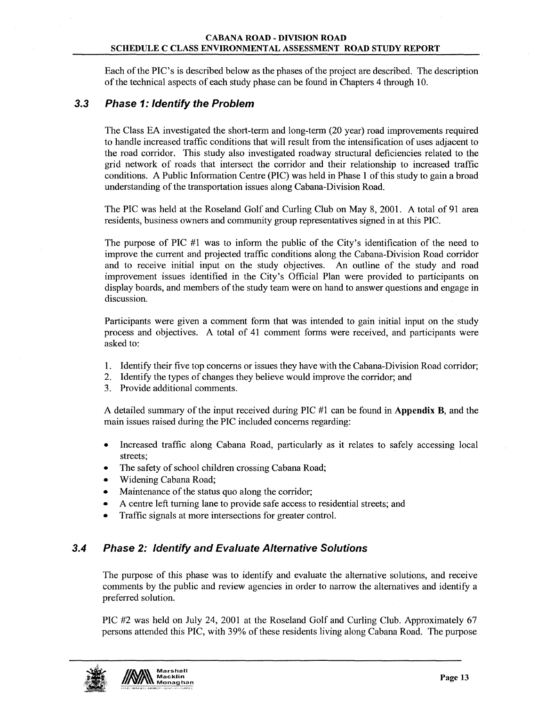#### CABANA ROAD - DIVISION ROAD SCHEDULE C CLASS ENVIRONMENTAL ASSESSMENT ROAD STUDY REPORT

Each of the PIC's is described below as the phases of the project are described. The description of the technical aspects of each study phase can be found in Chapters 4 through 10.

### 3.3 Phase 1: Identify the Problem

The Class EA investigated the short-tenn and long-tenn (20 year) road improvements required to handle increased traffic conditions that will result from the intensification of uses adjacent to the road corridor. This study also investigated roadway structural deficiencies related to the grid network of roads that intersect the corridor and their relationship to increased traffic conditions. A Public Infonnation Centre (PIC) was held in Phase 1 of this study to gain a broad understanding of the transportation issues along Cabana-Division Road.

The PIC was held at the Roseland Golf and Curling Club on May 8, 2001. A total of 91 area residents, business owners and community group representatives signed in at this PIC.

The purpose of PIC #1 was to infonn the public of the City's identification of the need to improve the current and projected traffic conditions along the Cabana-Division Road corridor and to receive initial input on the study objectives. An outline of the study and road improvement issues identified in the City's Official Plan were provided to participants on display boards, and members of the study team were on hand to answer questions and engage in discussion.

Participants were given a comment form that was intended to gain initial input on the study process and objectives. A total of 41 comment fonns were received, and participants were asked to:

- 1. Identify their five top concerns or issues they have with the Cabana-Division Road corridor;
- 2. Identify the types of changes they believe would improve the corridor; and
- 3. Provide additional comments.

A detailed summary of the input received during PIC #1 can be found in Appendix B, and the main issues raised during the PIC included concerns regarding:

- Increased traffic along Cabana Road, particularly as it relates to safely accessing local streets;
- The safety of school children crossing Cabana Road;
- Widening Cabana Road;
- Maintenance of the status quo along the corridor;
- A centre left turning lane to provide safe access to residential streets; and
- Traffic signals at more intersections for greater control.

### 3.4 Phase 2: Identify and Evaluate Alternative Solutions

The purpose of this phase was to identify and evaluate the alternative solutions, and receive comments by the public and review agencies in order to narrow the alternatives and identify a preferred solution.

PIC #2 was held on July 24, 2001 at the Roseland Golf and Curling Club. Approximately 67 persons attended this PIC, with 39% of these residents living along Cabana Road. The purpose

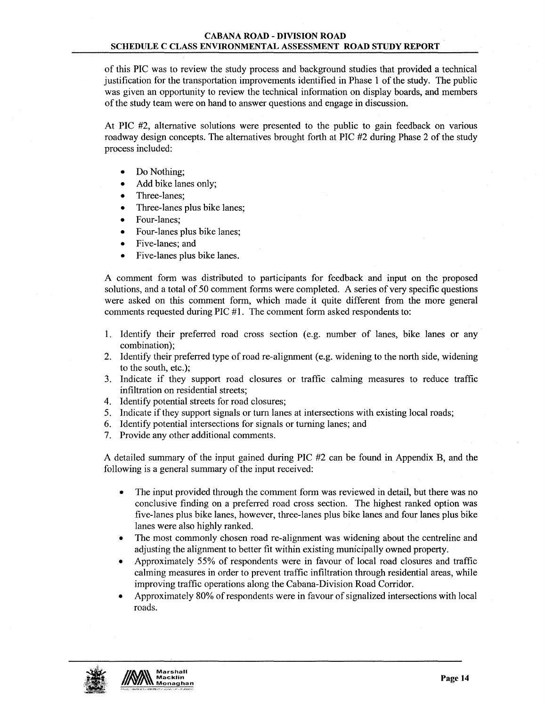of this PIC was to review the study process and background studies that provided a technical justification for the transportation improvements identified in Phase 1 of the study. The public was given an opportunity to review the technical information on display boards, and members of the study team were on hand to answer questions and engage in discussion.

At PIC #2, alternative solutions were presented to the public to gain feedback on various roadway design concepts. The alternatives brought forth at PIC #2 during Phase 2 of the study process included:

- Do Nothing;
- Add bike lanes only;
- Three-lanes:
- Three-lanes plus bike lanes;
- Four-lanes;
- Four-lanes plus bike lanes;
- Five-lanes; and
- Five-lanes plus bike lanes.

A comment form was distributed to participants for feedback and input on the proposed solutions, and a total of 50 comment forms were completed. A series of very specific questions were asked on this comment form, which made it quite different from the more general comments requested during PIC #1. The comment form asked respondents to:

- 1. Identify their preferred road cross section (e.g. number of lanes, bike lanes or any combination);
- 2. Identify their preferred type of road re-alignment (e.g. widening to the north side, widening to the south, etc.);
- 3. Indicate if they support road closures or traffic calming measures to reduce traffic infiltration on residential streets;
- 4. Identify potential streets for road closures;
- 5. Indicate if they support signals or tum lanes at intersections with existing local roads;
- 6. Identify potential intersections for signals or turning lanes; and
- 7. Provide any other additional comments.

A detailed summary of the input gained during PIC #2 can be found in Appendix B, and the following is a general summary of the input received:

- The input provided through the comment form was reviewed in detail, but there was no conclusive finding on a preferred road cross section. The highest ranked option was five-lanes plus bike lanes, however, three-lanes plus bike lanes and four lanes plus bike lanes were also highly ranked.
- The most commonly chosen road re-alignment was widening about the centreline and adjusting the alignment to better fit within existing municipally owned property.
- Approximately 55% of respondents were in favour of local road closures and traffic calming measures in order to prevent traffic infiltration through residential areas, while improving traffic operations along the Cabana-Division Road Corridor.
- Approximately 80% of respondents were in favour of signalized intersections with local roads.

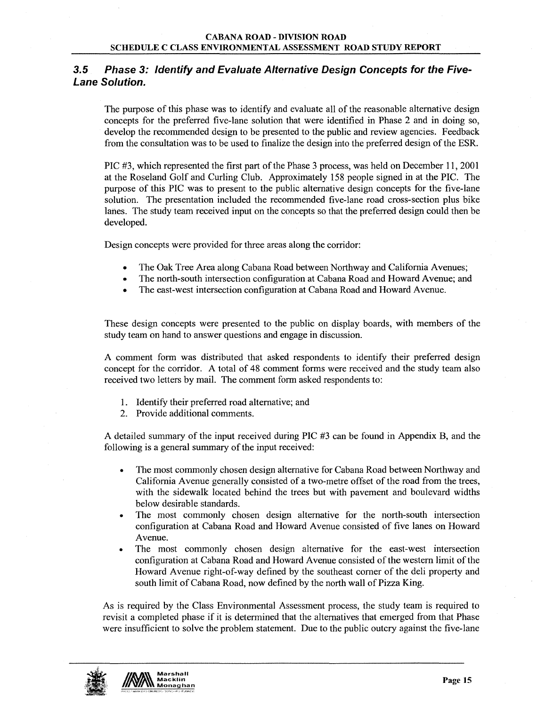# 3.5 Phase 3: Identify and Evaluate Alternative Design Concepts for the Five-Lane Solution.

The purpose of this phase was to identify and evaluate all of the reasonable alternative design concepts for the preferred five-lane solution that were identified in Phase 2 and in doing so, develop the recommended design to be presented to the public and review agencies. Feedback from the consultation was to be used to finalize the design into the preferred design of the ESR.

PIC #3, which represented the first part of the Phase 3 process, was held on December 11, 2001 at the Roseland Golf and Curling Club. Approximately 158 people signed in at the PIC. The purpose of this PIC was to present to the public alternative design concepts for the five-lane solution. The presentation included the recommended five-lane road cross-section plus bike lanes. The study team received input on the concepts so that the preferred design could then be developed.

Design concepts were provided for three areas along the corridor:

- The Oak Tree Area along Cabana Road between Northway and California Avenues;
- The north-south intersection configuration at Cabana Road and Howard Avenue; and
- The east-west intersection configuration at Cabana Road and Howard Avenue.

These design concepts were presented to the public on display boards, with members of the study team on hand to answer questions and engage in discussion.

A comment form was distributed that asked respondents to identify their preferred design concept for the corridor. A total of 48 comment forms were received and the study team also received two letters by mail. The comment form asked respondents to:

- 1. Identify their preferred road alternative; and
- 2. Provide additional comments.

A detailed summary of the input received during PIC #3 can be found in Appendix B, and the following is a general summary of the input received:

- The most commonly chosen design alternative for Cabana Road between Northway and California Avenue generally consisted of a two-metre offset of the road from the trees, with the sidewalk located behind the trees but with pavement and boulevard widths below desirable standards.
- The most commonly chosen design alternative for the north-south intersection configuration at Cabana Road and Howard Avenue consisted of five lanes on Howard Avenue.
- The most commonly chosen design alternative for the east-west intersection configuration at Cabana Road and Howard Avenue consisted of the western limit of the Howard Avenue right-of-way defined by the southeast comer of the deli property and south limit of Cabana Road, now defined by the north wall of Pizza King.

As is required by the Class Environmental Assessment process, the study team is required to revisit a completed phase if it is determined that the alternatives that emerged from that Phase were insufficient to solve the problem statement. Due to the public outcry against the five-lane

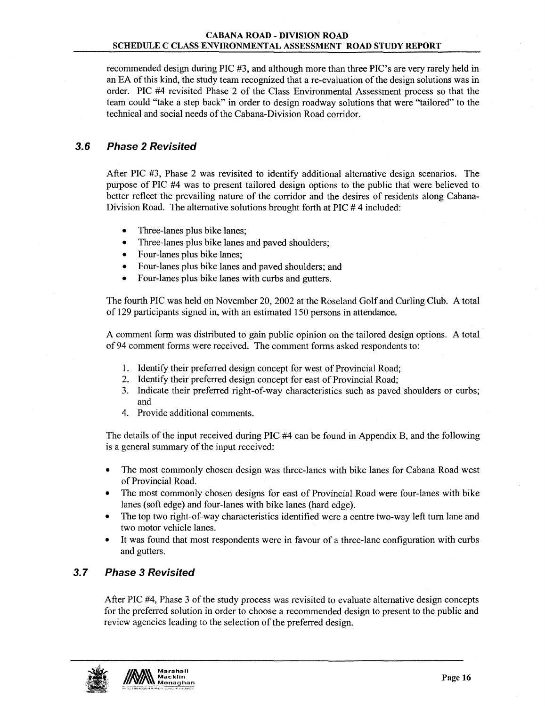recommended design during PIC #3, and although more than three PIC's are very rarely held in an EA of this kind, the study team recognized that a re-evaluation of the design solutions was in order. PIC #4 revisited Phase 2 of the Class Environmental Assessment process so that the team could "take a step back" in order to design roadway solutions that were "tailored" to the technical and social needs of the Cabana-Division Road corridor.

# 3.6 Phase 2 Revisited

After PIC #3, Phase 2 was revisited to identify additional alternative design scenarios. The purpose of PIC #4 was to present tailored design options to the public that were believed to better reflect the prevailing nature of the corridor and the desires of residents along Cabana-Division Road. The alternative solutions brought forth at PIC # 4 included:

- Three-lanes plus bike lanes;
- Three-lanes plus bike lanes and paved shoulders;
- Four-lanes plus bike lanes;
- Four-lanes plus bike lanes and paved shoulders; and
- Four-lanes plus bike lanes with curbs and gutters.

The fourth PIC was held on November 20, 2002 at the Roseland Golf and Curling Club. A total of 129 participants signed in, with an estimated 150 persons in attendance.

A comment form was distributed to gain public opinion on the tailored design options. A total of 94 comment forms were received. The comment forms asked respondents to:

- 1. Identify their preferred design concept for west of Provincial Road;
- 2. Identify their preferred design concept for east of Provincial Road;
- 3. Indicate their preferred right-of-way characteristics such as paved shoulders or curbs; and
- 4. Provide additional comments.

The details of the input received during PIC #4 can be found in Appendix B, and the following is a general summary of the input received:

- The most commonly chosen design was three-lanes with bike lanes for Cabana Road west of Provincial Road.
- The most commonly chosen designs for east of Provincial Road were four-lanes with bike lanes (soft edge) and four-lanes with bike lanes (hard edge).
- The top two right-of-way characteristics identified were a centre two-way left tum lane and two motor vehicle lanes.
- It was found that most respondents were in favour of a three-lane configuration with curbs and gutters.

# 3.7 Phase 3 Revisited

After PIC #4, Phase 3 of the study process was revisited to evaluate alternative design concepts for the preferred solution in order to choose a recommended design to present to the public and review agencies leading to the selection of the preferred design.

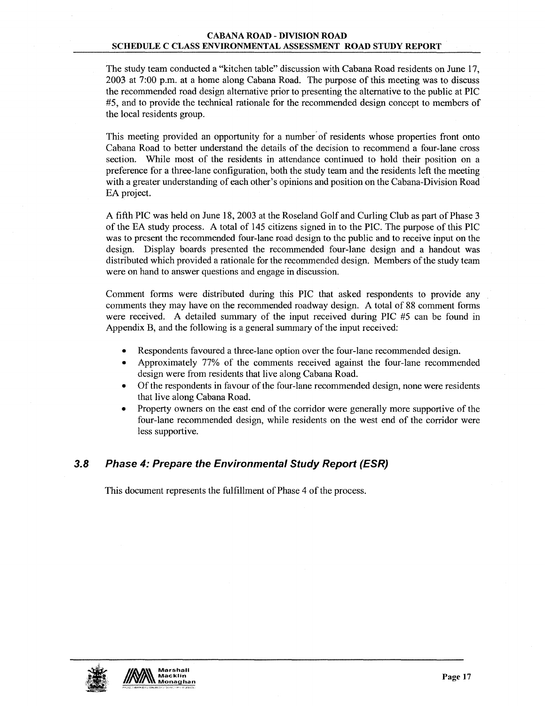#### CABANA ROAD - DIVISION ROAD SCHEDULE C CLASS ENVIRONMENTAL ASSESSMENT ROAD STUDY REPORT

The study team conducted a "kitchen table" discussion with Cabana Road residents on June 17, 2003 at 7:00 p.m. at a home along Cabana Road. The purpose of this meeting was to discuss the recommended road design alternative prior to presenting the alternative to the public at PIC #5, and to provide the technical rationale for the recommended design concept to members of the local residents group.

This meeting provided an opportunity for a number' of residents whose properties front onto Cabana Road to better understand the details of the decision to recommend a four-lane cross section. While most of the residents in attendance continued to hold their position on a preference for a three-lane configuration, both the study team and the residents left the meeting with a greater understanding of each other's opinions and position on the Cabana-Division Road EA project.

A fifth PIC was held on June 18, 2003 at the Roseland Golf and Curling Club as part of Phase 3 of the EA study process. A total of 145 citizens signed in to the PIC. The purpose of this PIC was to present the recommended four-lane road design to the public and to receive input on the design. Display boards presented the recommended four-lane design and a handout was distributed which provided a rationale for the recommended design. Members of the study team were on hand to answer questions and engage in discussion.

Comment forms were distributed during this PIC that asked respondents to provide any comments they may have on the recommended roadway design. A total of 88 comment forms were received. A detailed summary of the input received during PIC #5 can be found in Appendix B, and the following is a general summary of the input received:

- Respondents favoured a three-lane option over the four-lane recommended design.
- Approximately 77% of the comments received against the four-lane recommended design were from residents that live along Cabana Road.
- Of the respondents in favour of the four-lane recommended design, none were residents that live along Cabana Road.
- Property owners on the east end of the corridor were generally more supportive of the four-lane recommended design, while residents on the west end of the corridor were less supportive.

# 3.8 Phase 4: Prepare the Environmental Study Report (ESR)

This document represents the fulfillment of Phase 4 of the process.

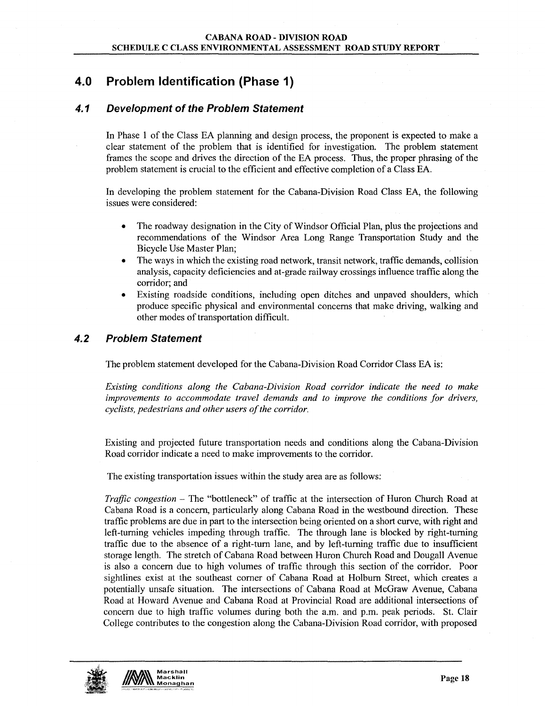# 4.0 Problem Identification (Phase 1)

# 4.1 Development of the Problem Statement

In Phase 1 of the Class EA planning and design process, the proponent is expected to make a clear statement of the problem that is identified for investigation. The problem statement frames the scope and drives the direction of the EA process. Thus, the proper phrasing of the problem statement is crucial to the efficient and effective completion of a Class EA.

In developing the problem statement for the Cabana-Division Road Class EA, the following issues were considered:

- The roadway designation in the City of Windsor Official Plan, plus the projections and recommendations of the Windsor Area Long Range Transportation Study and the Bicycle Use Master Plan;
- The ways in which the existing road network, transit network, traffic demands, collision analysis, capacity deficiencies and at-grade railway crossings influence traffic along the corridor; and
- Existing roadside conditions, including open ditches and unpaved shoulders, which produce specific physical and environmental concerns that make driving, walking and other modes of transportation difficult.

## 4.2 Problem Statement

The problem statement developed for the Cabana-Division Road Corridor Class EA is:

*Existing conditions along the Cabana-Division Road corridor indicate the need to make improvements to accommodate travel demands and to improve the conditions for drivers, cyclists, pedestrians and other users of the corridor.* 

Existing and projected future transportation needs and conditions along the Cabana-Division Road corridor indicate a need to make improvements to the corridor.

The existing transportation issues within the study area are as follows:

*Traffic congestion* – The "bottleneck" of traffic at the intersection of Huron Church Road at Cabana Road is a concern, particularly along Cabana Road in the westbound direction. These traffic problems are due in part to the intersection being oriented on a short curve, with right and left-turning vehicles impeding through traffic. The through lane is blocked by right-turning traffic due to the absence of a right-tum lane, and by left-turning traffic due to insufficient storage length. The stretch of Cabana Road between Huron Church Road and Dougall Avenue is also a concern due to high volumes of traffic through this section of the corridor. Poor sightlines exist at the southeast comer of Cabana Road at Holburn Street, which creates a potentially unsafe situation. The intersections of Cabana Road at McGraw Avenue, Cabana Road at Howard Avenue and Cabana Road at Provincial Road are additional intersections of concern due to high traffic volumes during both the a.m. and p.m. peak periods. St. Clair College contributes to the congestion along the Cabana-Division Road corridor, with proposed